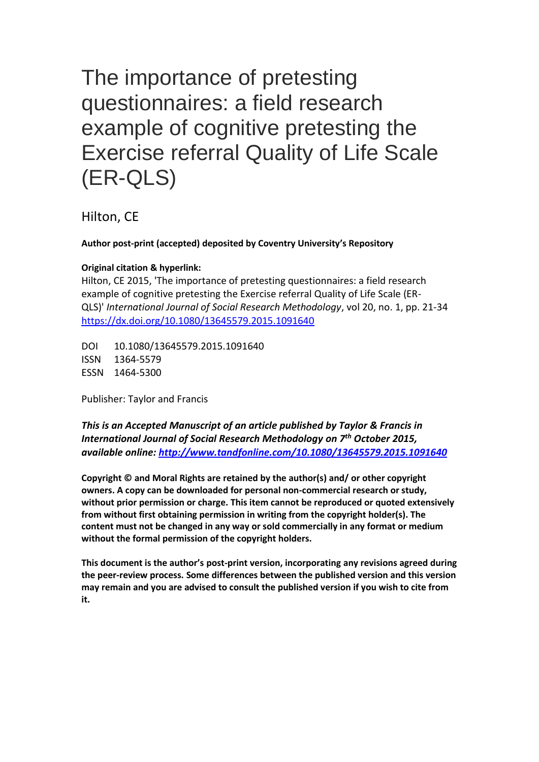# The importance of pretesting questionnaires: a field research example of cognitive pretesting the Exercise referral Quality of Life Scale (ER-QLS)

Hilton, CE

# **Author post-print (accepted) deposited by Coventry University's Repository**

### **Original citation & hyperlink:**

Hilton, CE 2015, 'The importance of pretesting questionnaires: a field research example of cognitive pretesting the Exercise referral Quality of Life Scale (ER-QLS)' *International Journal of Social Research Methodology*, vol 20, no. 1, pp. 21-34 <https://dx.doi.org/10.1080/13645579.2015.1091640>

DOI 10.1080/13645579.2015.1091640 ISSN 1364-5579 ESSN 1464-5300

Publisher: Taylor and Francis

*This is an Accepted Manuscript of an article published by Taylor & Francis in International Journal of Social Research Methodology on 7 th October 2015, available online: [http://www.tandfonline.com/1](http://www.tandfonline.com/)0.1080/13645579.2015.1091640*

**Copyright © and Moral Rights are retained by the author(s) and/ or other copyright owners. A copy can be downloaded for personal non-commercial research or study, without prior permission or charge. This item cannot be reproduced or quoted extensively from without first obtaining permission in writing from the copyright holder(s). The content must not be changed in any way or sold commercially in any format or medium without the formal permission of the copyright holders.** 

**This document is the author's post-print version, incorporating any revisions agreed during the peer-review process. Some differences between the published version and this version may remain and you are advised to consult the published version if you wish to cite from it.**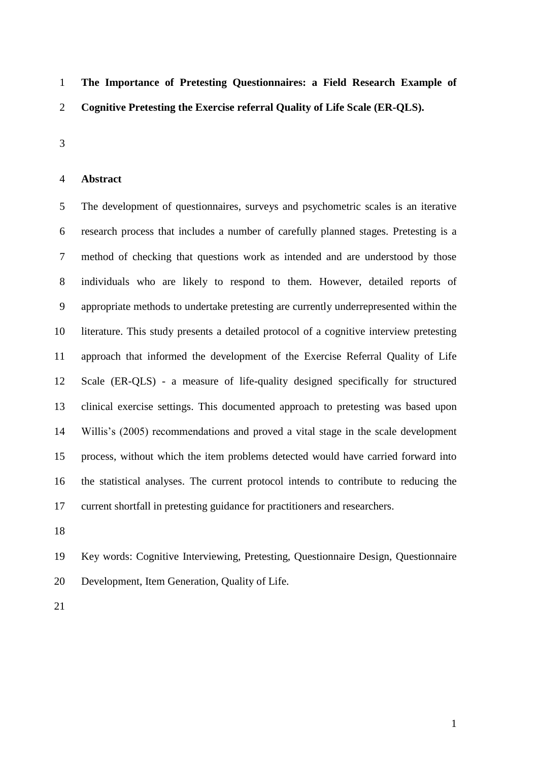**The Importance of Pretesting Questionnaires: a Field Research Example of Cognitive Pretesting the Exercise referral Quality of Life Scale (ER-QLS).**

#### **Abstract**

 The development of questionnaires, surveys and psychometric scales is an iterative research process that includes a number of carefully planned stages. Pretesting is a method of checking that questions work as intended and are understood by those individuals who are likely to respond to them. However, detailed reports of appropriate methods to undertake pretesting are currently underrepresented within the literature. This study presents a detailed protocol of a cognitive interview pretesting approach that informed the development of the Exercise Referral Quality of Life Scale (ER-QLS) - a measure of life-quality designed specifically for structured clinical exercise settings. This documented approach to pretesting was based upon Willis's (2005) recommendations and proved a vital stage in the scale development process, without which the item problems detected would have carried forward into the statistical analyses. The current protocol intends to contribute to reducing the current shortfall in pretesting guidance for practitioners and researchers.

 Key words: Cognitive Interviewing, Pretesting, Questionnaire Design, Questionnaire Development, Item Generation, Quality of Life.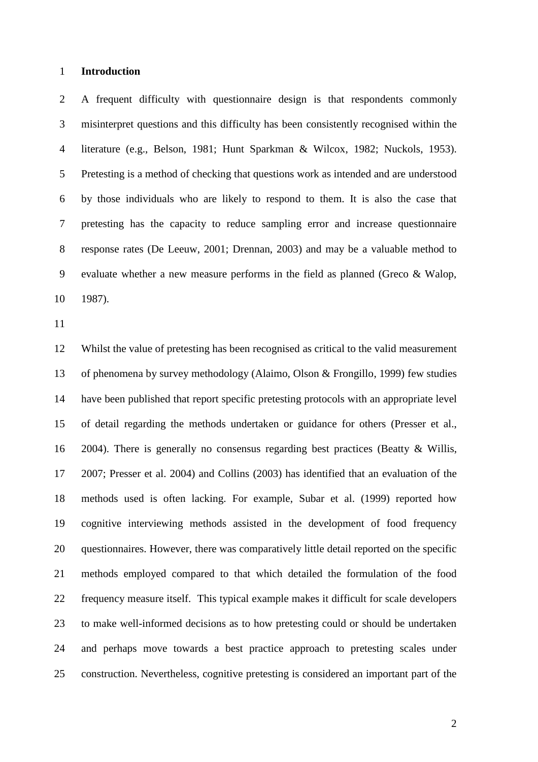#### **Introduction**

 A frequent difficulty with questionnaire design is that respondents commonly misinterpret questions and this difficulty has been consistently recognised within the literature (e.g., Belson, 1981; Hunt Sparkman & Wilcox, 1982; Nuckols, 1953). Pretesting is a method of checking that questions work as intended and are understood by those individuals who are likely to respond to them. It is also the case that pretesting has the capacity to reduce sampling error and increase questionnaire response rates (De Leeuw, 2001; Drennan, 2003) and may be a valuable method to evaluate whether a new measure performs in the field as planned (Greco & Walop, 1987).

 Whilst the value of pretesting has been recognised as critical to the valid measurement of phenomena by survey methodology (Alaimo, Olson & Frongillo, 1999) few studies have been published that report specific pretesting protocols with an appropriate level of detail regarding the methods undertaken or guidance for others (Presser et al., 2004). There is generally no consensus regarding best practices (Beatty & Willis, 2007; Presser et al. 2004) and Collins (2003) has identified that an evaluation of the methods used is often lacking. For example, Subar et al. (1999) reported how cognitive interviewing methods assisted in the development of food frequency questionnaires. However, there was comparatively little detail reported on the specific methods employed compared to that which detailed the formulation of the food frequency measure itself. This typical example makes it difficult for scale developers to make well-informed decisions as to how pretesting could or should be undertaken and perhaps move towards a best practice approach to pretesting scales under construction. Nevertheless, cognitive pretesting is considered an important part of the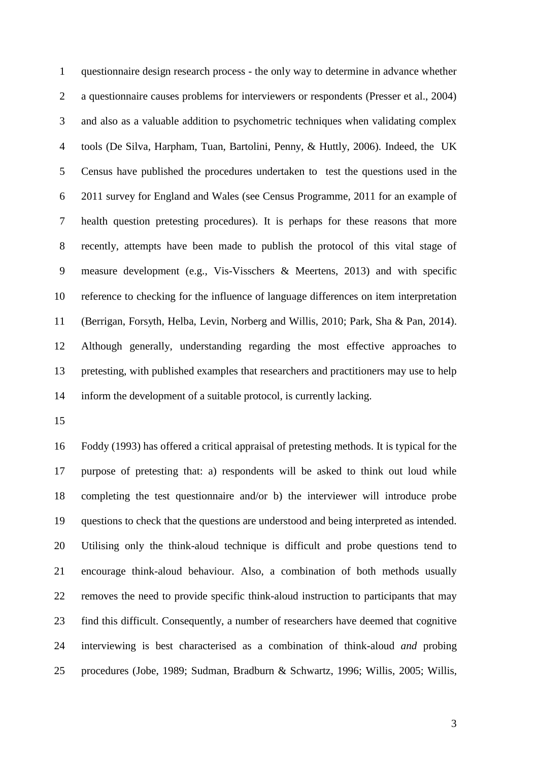questionnaire design research process - the only way to determine in advance whether a questionnaire causes problems for interviewers or respondents (Presser et al., 2004) and also as a valuable addition to psychometric techniques when validating complex tools (De Silva, Harpham, Tuan, Bartolini, Penny, & Huttly, 2006). Indeed, the UK Census have published the procedures undertaken to test the questions used in the 2011 survey for England and Wales (see Census Programme, 2011 for an example of health question pretesting procedures). It is perhaps for these reasons that more recently, attempts have been made to publish the protocol of this vital stage of measure development (e.g., Vis-Visschers & Meertens, 2013) and with specific reference to checking for the influence of language differences on item interpretation (Berrigan, Forsyth, Helba, Levin, Norberg and Willis, 2010; Park, Sha & Pan, 2014). Although generally, understanding regarding the most effective approaches to pretesting, with published examples that researchers and practitioners may use to help inform the development of a suitable protocol, is currently lacking.

 Foddy (1993) has offered a critical appraisal of pretesting methods. It is typical for the purpose of pretesting that: a) respondents will be asked to think out loud while completing the test questionnaire and/or b) the interviewer will introduce probe questions to check that the questions are understood and being interpreted as intended. Utilising only the think-aloud technique is difficult and probe questions tend to encourage think-aloud behaviour. Also, a combination of both methods usually removes the need to provide specific think-aloud instruction to participants that may find this difficult. Consequently, a number of researchers have deemed that cognitive interviewing is best characterised as a combination of think-aloud *and* probing procedures (Jobe, 1989; Sudman, Bradburn & Schwartz, 1996; Willis, 2005; Willis,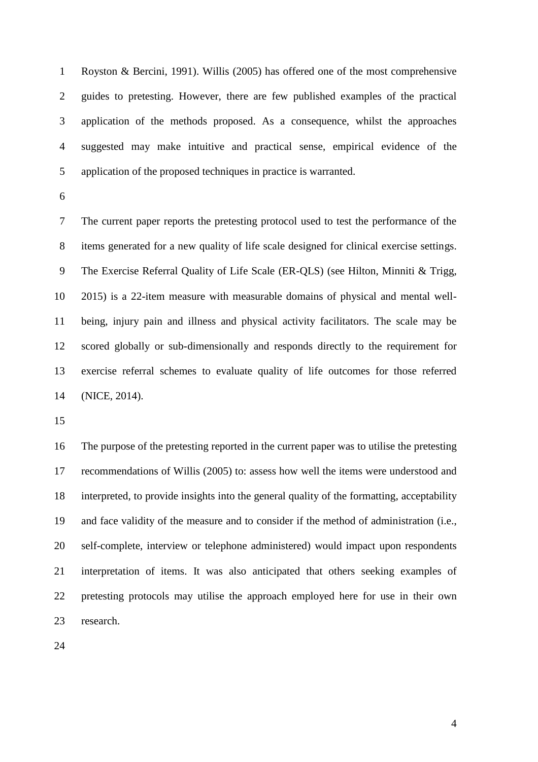Royston & Bercini, 1991). Willis (2005) has offered one of the most comprehensive guides to pretesting. However, there are few published examples of the practical application of the methods proposed. As a consequence, whilst the approaches suggested may make intuitive and practical sense, empirical evidence of the application of the proposed techniques in practice is warranted.

 The current paper reports the pretesting protocol used to test the performance of the items generated for a new quality of life scale designed for clinical exercise settings. The Exercise Referral Quality of Life Scale (ER-QLS) (see Hilton, Minniti & Trigg, 2015) is a 22-item measure with measurable domains of physical and mental well- being, injury pain and illness and physical activity facilitators. The scale may be scored globally or sub-dimensionally and responds directly to the requirement for exercise referral schemes to evaluate quality of life outcomes for those referred (NICE, 2014).

 The purpose of the pretesting reported in the current paper was to utilise the pretesting recommendations of Willis (2005) to: assess how well the items were understood and interpreted, to provide insights into the general quality of the formatting, acceptability and face validity of the measure and to consider if the method of administration (i.e., self-complete, interview or telephone administered) would impact upon respondents interpretation of items. It was also anticipated that others seeking examples of pretesting protocols may utilise the approach employed here for use in their own research.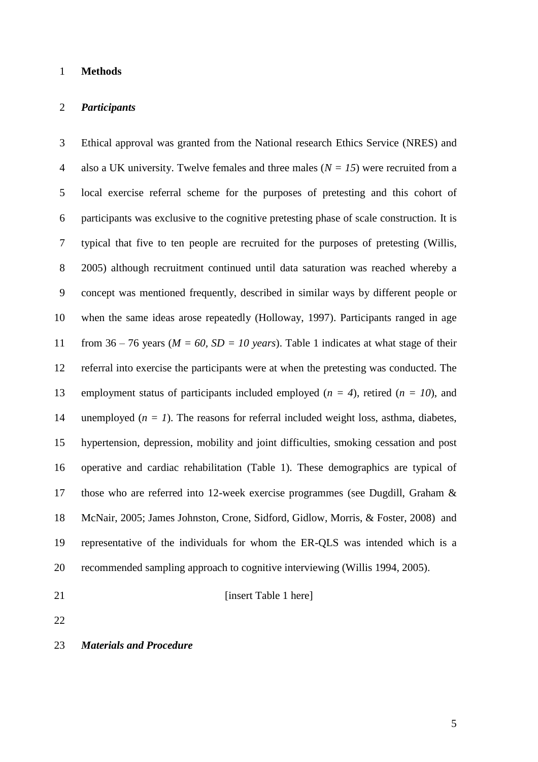#### **Methods**

#### *Participants*

 Ethical approval was granted from the National research Ethics Service (NRES) and also a UK university. Twelve females and three males (*N = 15*) were recruited from a local exercise referral scheme for the purposes of pretesting and this cohort of participants was exclusive to the cognitive pretesting phase of scale construction. It is typical that five to ten people are recruited for the purposes of pretesting (Willis, 2005) although recruitment continued until data saturation was reached whereby a concept was mentioned frequently, described in similar ways by different people or when the same ideas arose repeatedly (Holloway, 1997). Participants ranged in age 11 from  $36 - 76$  years ( $M = 60$ ,  $SD = 10$  years). Table 1 indicates at what stage of their referral into exercise the participants were at when the pretesting was conducted. The employment status of participants included employed (*n = 4*), retired (*n = 10*), and 14 unemployed  $(n = 1)$ . The reasons for referral included weight loss, asthma, diabetes, hypertension, depression, mobility and joint difficulties, smoking cessation and post operative and cardiac rehabilitation (Table 1). These demographics are typical of those who are referred into 12-week exercise programmes (see Dugdill, Graham & McNair, 2005; James Johnston, Crone, Sidford, Gidlow, Morris, & Foster, 2008) and representative of the individuals for whom the ER-QLS was intended which is a recommended sampling approach to cognitive interviewing (Willis 1994, 2005).

*insert Table 1 here* 

#### *Materials and Procedure*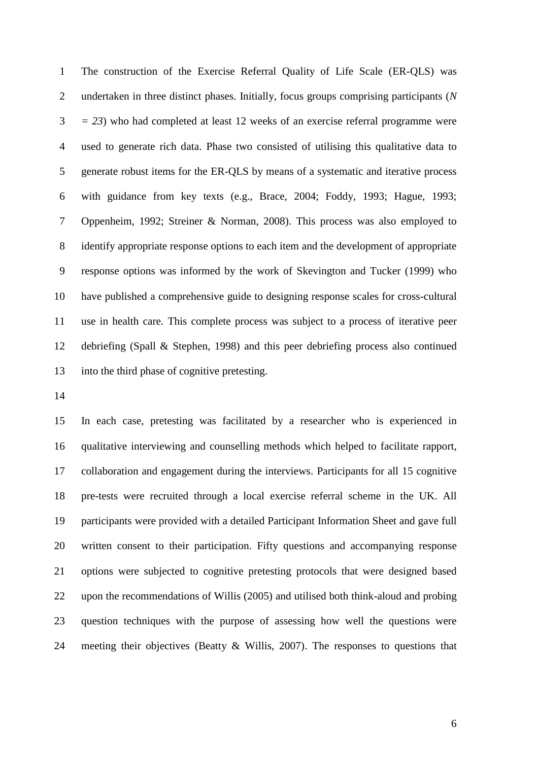The construction of the Exercise Referral Quality of Life Scale (ER-QLS) was undertaken in three distinct phases. Initially, focus groups comprising participants (*N = 23*) who had completed at least 12 weeks of an exercise referral programme were used to generate rich data. Phase two consisted of utilising this qualitative data to generate robust items for the ER-QLS by means of a systematic and iterative process with guidance from key texts (e.g., Brace, 2004; Foddy, 1993; Hague, 1993; Oppenheim, 1992; Streiner & Norman, 2008). This process was also employed to identify appropriate response options to each item and the development of appropriate response options was informed by the work of Skevington and Tucker (1999) who have published a comprehensive guide to designing response scales for cross-cultural use in health care. This complete process was subject to a process of iterative peer debriefing (Spall & Stephen, 1998) and this peer debriefing process also continued into the third phase of cognitive pretesting.

 In each case, pretesting was facilitated by a researcher who is experienced in qualitative interviewing and counselling methods which helped to facilitate rapport, collaboration and engagement during the interviews. Participants for all 15 cognitive pre-tests were recruited through a local exercise referral scheme in the UK. All participants were provided with a detailed Participant Information Sheet and gave full written consent to their participation. Fifty questions and accompanying response options were subjected to cognitive pretesting protocols that were designed based upon the recommendations of Willis (2005) and utilised both think-aloud and probing question techniques with the purpose of assessing how well the questions were meeting their objectives (Beatty & Willis, 2007). The responses to questions that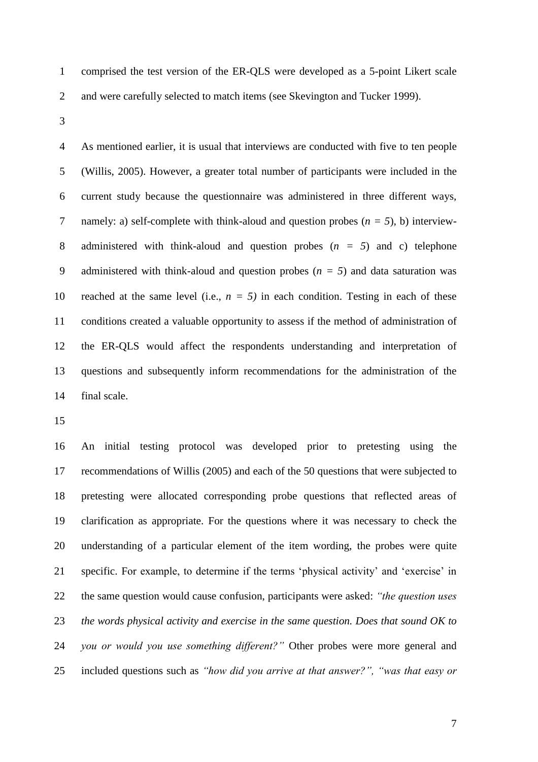- comprised the test version of the ER-QLS were developed as a 5-point Likert scale
- and were carefully selected to match items (see Skevington and Tucker 1999).
- 

 As mentioned earlier, it is usual that interviews are conducted with five to ten people (Willis, 2005). However, a greater total number of participants were included in the current study because the questionnaire was administered in three different ways, namely: a) self-complete with think-aloud and question probes (*n = 5*), b) interview- administered with think-aloud and question probes (*n = 5*) and c) telephone administered with think-aloud and question probes (*n = 5*) and data saturation was 10 reached at the same level (i.e.,  $n = 5$ ) in each condition. Testing in each of these conditions created a valuable opportunity to assess if the method of administration of the ER-QLS would affect the respondents understanding and interpretation of questions and subsequently inform recommendations for the administration of the final scale.

 An initial testing protocol was developed prior to pretesting using the recommendations of Willis (2005) and each of the 50 questions that were subjected to pretesting were allocated corresponding probe questions that reflected areas of clarification as appropriate. For the questions where it was necessary to check the understanding of a particular element of the item wording, the probes were quite specific. For example, to determine if the terms 'physical activity' and 'exercise' in the same question would cause confusion, participants were asked: *"the question uses the words physical activity and exercise in the same question. Does that sound OK to you or would you use something different?"* Other probes were more general and included questions such as *"how did you arrive at that answer?", "was that easy or*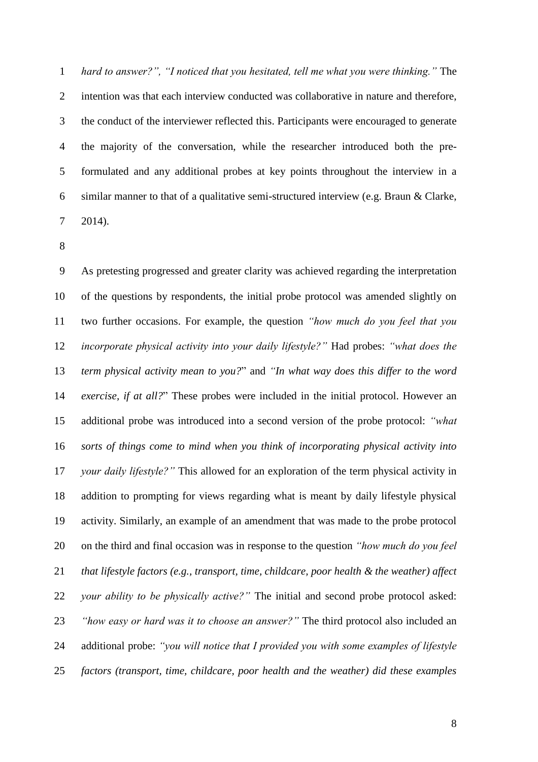*hard to answer?", "I noticed that you hesitated, tell me what you were thinking."* The intention was that each interview conducted was collaborative in nature and therefore, the conduct of the interviewer reflected this. Participants were encouraged to generate the majority of the conversation, while the researcher introduced both the pre- formulated and any additional probes at key points throughout the interview in a similar manner to that of a qualitative semi-structured interview (e.g. Braun & Clarke, 2014).

 As pretesting progressed and greater clarity was achieved regarding the interpretation of the questions by respondents, the initial probe protocol was amended slightly on two further occasions. For example, the question *"how much do you feel that you incorporate physical activity into your daily lifestyle?"* Had probes: *"what does the term physical activity mean to you?*" and *"In what way does this differ to the word exercise, if at all?*" These probes were included in the initial protocol. However an additional probe was introduced into a second version of the probe protocol: *"what sorts of things come to mind when you think of incorporating physical activity into your daily lifestyle?"* This allowed for an exploration of the term physical activity in addition to prompting for views regarding what is meant by daily lifestyle physical activity. Similarly, an example of an amendment that was made to the probe protocol on the third and final occasion was in response to the question *"how much do you feel that lifestyle factors (e.g., transport, time, childcare, poor health & the weather) affect your ability to be physically active?"* The initial and second probe protocol asked: *"how easy or hard was it to choose an answer?"* The third protocol also included an additional probe: *"you will notice that I provided you with some examples of lifestyle factors (transport, time, childcare, poor health and the weather) did these examples*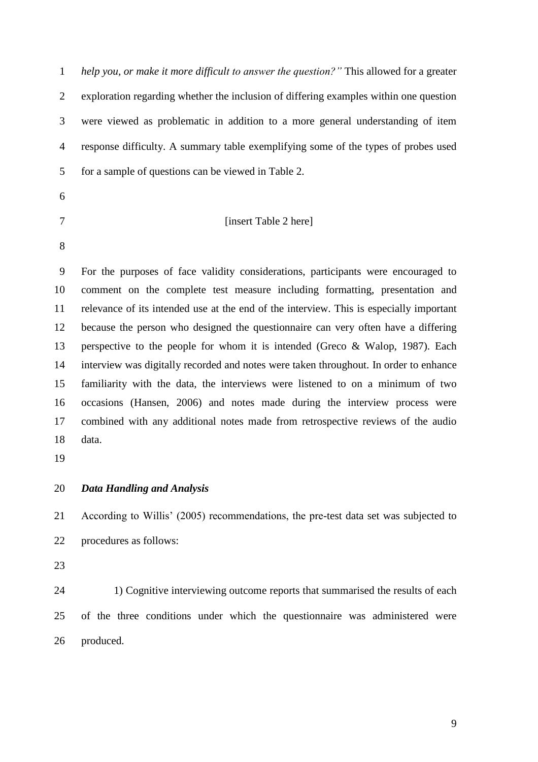*help you, or make it more difficult to answer the question?"* This allowed for a greater exploration regarding whether the inclusion of differing examples within one question were viewed as problematic in addition to a more general understanding of item response difficulty. A summary table exemplifying some of the types of probes used for a sample of questions can be viewed in Table 2.

- 
- 

*I* [insert Table 2 here]

 For the purposes of face validity considerations, participants were encouraged to comment on the complete test measure including formatting, presentation and relevance of its intended use at the end of the interview. This is especially important because the person who designed the questionnaire can very often have a differing perspective to the people for whom it is intended (Greco & Walop, 1987). Each interview was digitally recorded and notes were taken throughout. In order to enhance familiarity with the data, the interviews were listened to on a minimum of two occasions (Hansen, 2006) and notes made during the interview process were combined with any additional notes made from retrospective reviews of the audio data.

# *Data Handling and Analysis*

 According to Willis' (2005) recommendations, the pre-test data set was subjected to procedures as follows:

24 1) Cognitive interviewing outcome reports that summarised the results of each of the three conditions under which the questionnaire was administered were produced.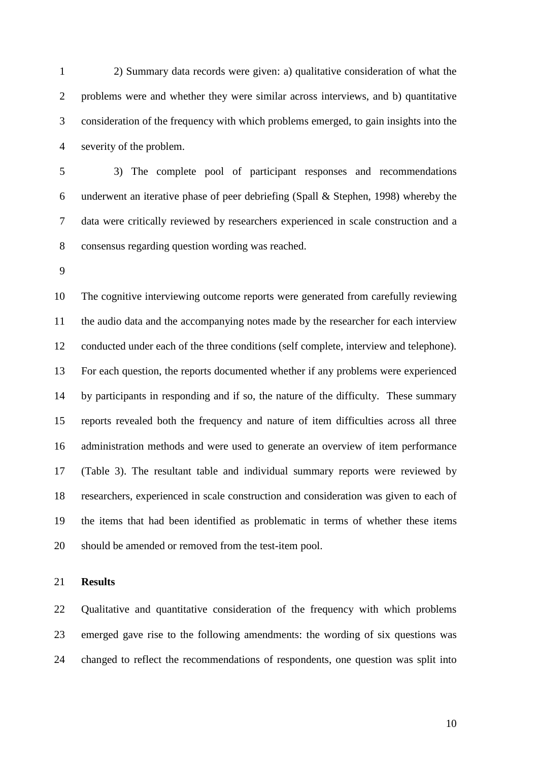2) Summary data records were given: a) qualitative consideration of what the problems were and whether they were similar across interviews, and b) quantitative consideration of the frequency with which problems emerged, to gain insights into the severity of the problem.

 3) The complete pool of participant responses and recommendations underwent an iterative phase of peer debriefing (Spall & Stephen, 1998) whereby the data were critically reviewed by researchers experienced in scale construction and a consensus regarding question wording was reached.

 The cognitive interviewing outcome reports were generated from carefully reviewing the audio data and the accompanying notes made by the researcher for each interview conducted under each of the three conditions (self complete, interview and telephone). For each question, the reports documented whether if any problems were experienced by participants in responding and if so, the nature of the difficulty. These summary reports revealed both the frequency and nature of item difficulties across all three administration methods and were used to generate an overview of item performance (Table 3). The resultant table and individual summary reports were reviewed by researchers, experienced in scale construction and consideration was given to each of the items that had been identified as problematic in terms of whether these items should be amended or removed from the test-item pool.

**Results**

 Qualitative and quantitative consideration of the frequency with which problems emerged gave rise to the following amendments: the wording of six questions was changed to reflect the recommendations of respondents, one question was split into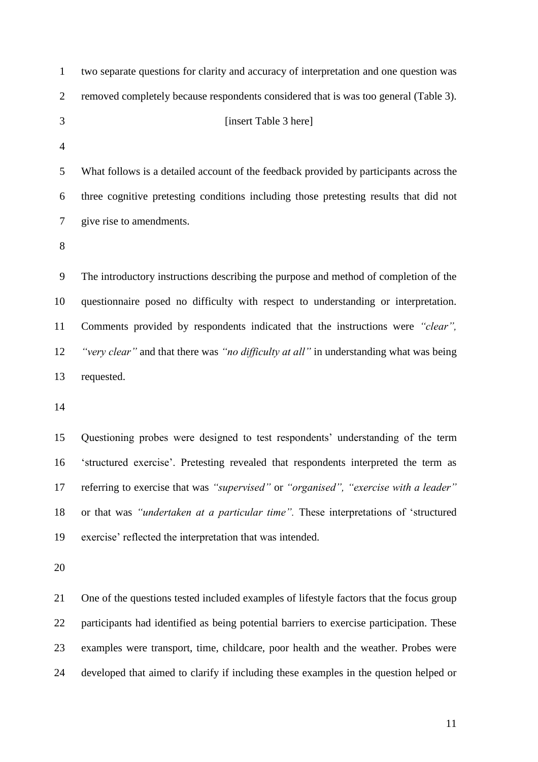| $\mathbf{1}$   | two separate questions for clarity and accuracy of interpretation and one question was   |
|----------------|------------------------------------------------------------------------------------------|
| $\overline{2}$ | removed completely because respondents considered that is was too general (Table 3).     |
| 3              | [insert Table 3 here]                                                                    |
| $\overline{4}$ |                                                                                          |
| 5              | What follows is a detailed account of the feedback provided by participants across the   |
| 6              | three cognitive pretesting conditions including those pretesting results that did not    |
| 7              | give rise to amendments.                                                                 |
| 8              |                                                                                          |
| 9              | The introductory instructions describing the purpose and method of completion of the     |
| 10             | questionnaire posed no difficulty with respect to understanding or interpretation.       |
| 11             | Comments provided by respondents indicated that the instructions were "clear",           |
| 12             | "very clear" and that there was "no difficulty at all" in understanding what was being   |
| 13             | requested.                                                                               |
| 14             |                                                                                          |
| 15             | Questioning probes were designed to test respondents' understanding of the term          |
| 16             | 'structured exercise'. Pretesting revealed that respondents interpreted the term as      |
| 17             | referring to exercise that was "supervised" or "organised", "exercise with a leader"     |
| 18             | or that was "undertaken at a particular time". These interpretations of 'structured      |
| 19             | exercise' reflected the interpretation that was intended.                                |
| 20             |                                                                                          |
| 21             | One of the questions tested included examples of lifestyle factors that the focus group  |
| 22             | participants had identified as being potential barriers to exercise participation. These |
| 23             | examples were transport, time, childcare, poor health and the weather. Probes were       |
|                |                                                                                          |

developed that aimed to clarify if including these examples in the question helped or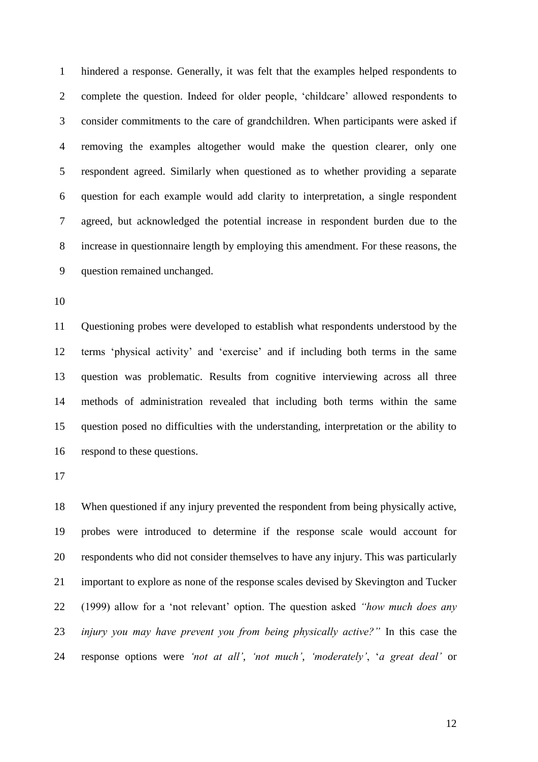hindered a response. Generally, it was felt that the examples helped respondents to complete the question. Indeed for older people, 'childcare' allowed respondents to consider commitments to the care of grandchildren. When participants were asked if removing the examples altogether would make the question clearer, only one respondent agreed. Similarly when questioned as to whether providing a separate question for each example would add clarity to interpretation, a single respondent agreed, but acknowledged the potential increase in respondent burden due to the increase in questionnaire length by employing this amendment. For these reasons, the question remained unchanged.

 Questioning probes were developed to establish what respondents understood by the terms 'physical activity' and 'exercise' and if including both terms in the same question was problematic. Results from cognitive interviewing across all three methods of administration revealed that including both terms within the same question posed no difficulties with the understanding, interpretation or the ability to respond to these questions.

 When questioned if any injury prevented the respondent from being physically active, probes were introduced to determine if the response scale would account for respondents who did not consider themselves to have any injury. This was particularly important to explore as none of the response scales devised by Skevington and Tucker (1999) allow for a 'not relevant' option. The question asked *"how much does any injury you may have prevent you from being physically active?"* In this case the response options were *'not at all'*, *'not much'*, *'moderately'*, '*a great deal'* or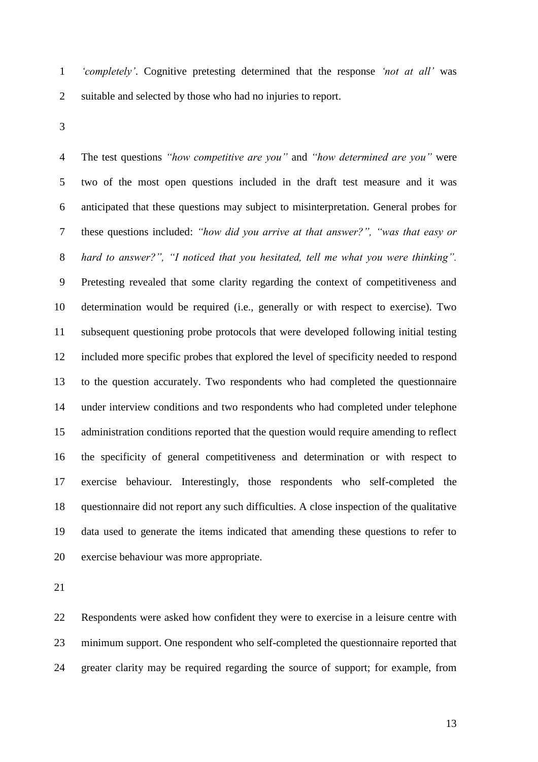*'completely'*. Cognitive pretesting determined that the response *'not at all'* was suitable and selected by those who had no injuries to report.

 The test questions *"how competitive are you"* and *"how determined are you"* were two of the most open questions included in the draft test measure and it was anticipated that these questions may subject to misinterpretation. General probes for these questions included: *"how did you arrive at that answer?", "was that easy or hard to answer?", "I noticed that you hesitated, tell me what you were thinking".* Pretesting revealed that some clarity regarding the context of competitiveness and determination would be required (i.e., generally or with respect to exercise). Two subsequent questioning probe protocols that were developed following initial testing included more specific probes that explored the level of specificity needed to respond to the question accurately. Two respondents who had completed the questionnaire under interview conditions and two respondents who had completed under telephone administration conditions reported that the question would require amending to reflect the specificity of general competitiveness and determination or with respect to exercise behaviour. Interestingly, those respondents who self-completed the questionnaire did not report any such difficulties. A close inspection of the qualitative data used to generate the items indicated that amending these questions to refer to exercise behaviour was more appropriate.

 Respondents were asked how confident they were to exercise in a leisure centre with minimum support. One respondent who self-completed the questionnaire reported that greater clarity may be required regarding the source of support; for example, from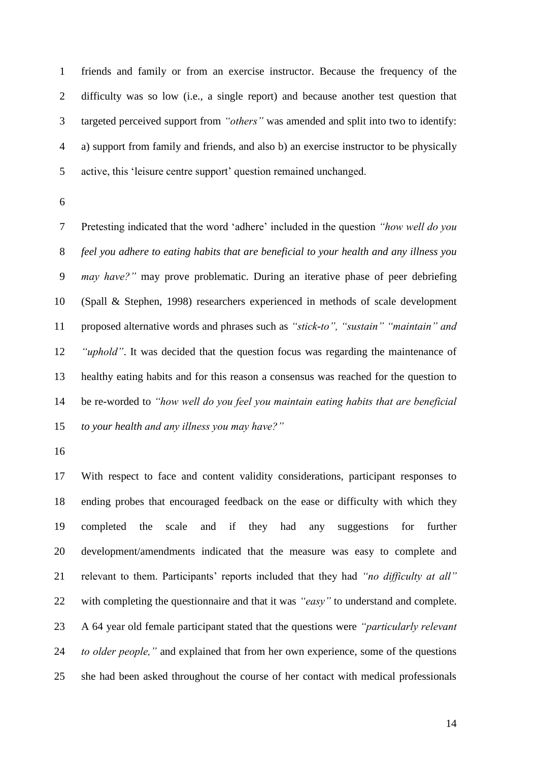friends and family or from an exercise instructor. Because the frequency of the difficulty was so low (i.e., a single report) and because another test question that targeted perceived support from *"others"* was amended and split into two to identify: a) support from family and friends, and also b) an exercise instructor to be physically active, this 'leisure centre support' question remained unchanged.

 Pretesting indicated that the word 'adhere' included in the question *"how well do you feel you adhere to eating habits that are beneficial to your health and any illness you may have?"* may prove problematic. During an iterative phase of peer debriefing (Spall & Stephen, 1998) researchers experienced in methods of scale development proposed alternative words and phrases such as *"stick-to", "sustain" "maintain" and "uphold"*. It was decided that the question focus was regarding the maintenance of healthy eating habits and for this reason a consensus was reached for the question to be re-worded to *"how well do you feel you maintain eating habits that are beneficial to your health and any illness you may have?"*

 With respect to face and content validity considerations, participant responses to ending probes that encouraged feedback on the ease or difficulty with which they completed the scale and if they had any suggestions for further development/amendments indicated that the measure was easy to complete and relevant to them. Participants' reports included that they had *"no difficulty at all"* with completing the questionnaire and that it was *"easy"* to understand and complete. A 64 year old female participant stated that the questions were *"particularly relevant to older people,"* and explained that from her own experience, some of the questions she had been asked throughout the course of her contact with medical professionals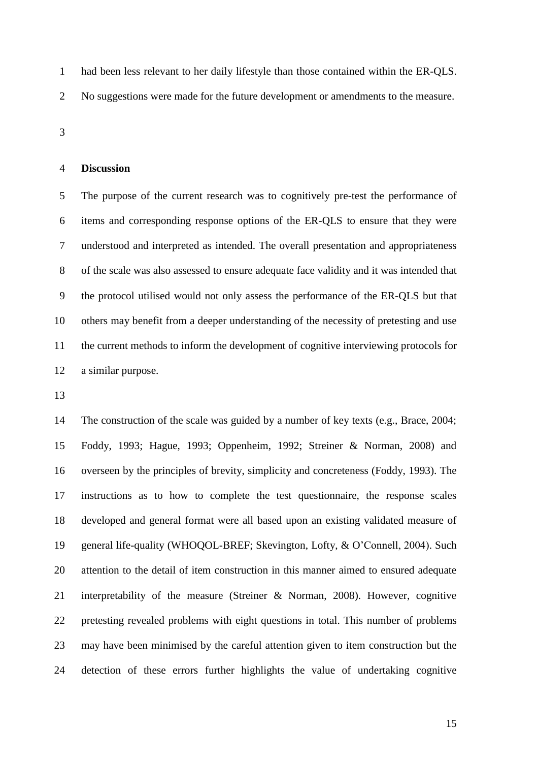had been less relevant to her daily lifestyle than those contained within the ER-QLS.

- No suggestions were made for the future development or amendments to the measure.
- 

#### **Discussion**

 The purpose of the current research was to cognitively pre-test the performance of items and corresponding response options of the ER-QLS to ensure that they were understood and interpreted as intended. The overall presentation and appropriateness of the scale was also assessed to ensure adequate face validity and it was intended that the protocol utilised would not only assess the performance of the ER-QLS but that others may benefit from a deeper understanding of the necessity of pretesting and use the current methods to inform the development of cognitive interviewing protocols for a similar purpose.

 The construction of the scale was guided by a number of key texts (e.g., Brace, 2004; Foddy, 1993; Hague, 1993; Oppenheim, 1992; Streiner & Norman, 2008) and overseen by the principles of brevity, simplicity and concreteness (Foddy, 1993). The instructions as to how to complete the test questionnaire, the response scales developed and general format were all based upon an existing validated measure of general life-quality (WHOQOL-BREF; Skevington, Lofty, & O'Connell, 2004). Such attention to the detail of item construction in this manner aimed to ensured adequate interpretability of the measure (Streiner & Norman, 2008). However, cognitive pretesting revealed problems with eight questions in total. This number of problems may have been minimised by the careful attention given to item construction but the detection of these errors further highlights the value of undertaking cognitive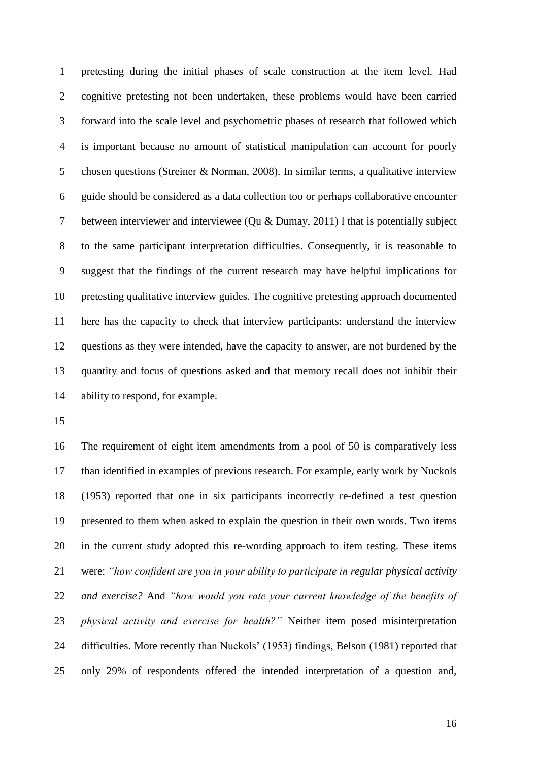pretesting during the initial phases of scale construction at the item level. Had cognitive pretesting not been undertaken, these problems would have been carried forward into the scale level and psychometric phases of research that followed which is important because no amount of statistical manipulation can account for poorly chosen questions (Streiner & Norman, 2008). In similar terms, a qualitative interview guide should be considered as a data collection too or perhaps collaborative encounter between interviewer and interviewee (Qu & Dumay, 2011) l that is potentially subject to the same participant interpretation difficulties. Consequently, it is reasonable to suggest that the findings of the current research may have helpful implications for pretesting qualitative interview guides. The cognitive pretesting approach documented here has the capacity to check that interview participants: understand the interview questions as they were intended, have the capacity to answer, are not burdened by the quantity and focus of questions asked and that memory recall does not inhibit their ability to respond, for example.

 The requirement of eight item amendments from a pool of 50 is comparatively less than identified in examples of previous research. For example, early work by Nuckols (1953) reported that one in six participants incorrectly re-defined a test question presented to them when asked to explain the question in their own words. Two items in the current study adopted this re-wording approach to item testing. These items were: *"how confident are you in your ability to participate in regular physical activity and exercise?* And *"how would you rate your current knowledge of the benefits of physical activity and exercise for health?"* Neither item posed misinterpretation difficulties. More recently than Nuckols' (1953) findings, Belson (1981) reported that only 29% of respondents offered the intended interpretation of a question and,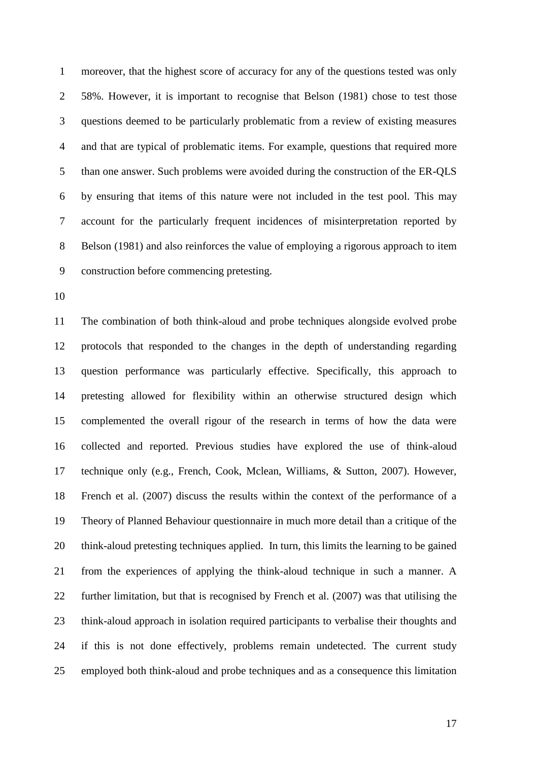moreover, that the highest score of accuracy for any of the questions tested was only 58%. However, it is important to recognise that Belson (1981) chose to test those questions deemed to be particularly problematic from a review of existing measures and that are typical of problematic items. For example, questions that required more than one answer. Such problems were avoided during the construction of the ER-QLS by ensuring that items of this nature were not included in the test pool. This may account for the particularly frequent incidences of misinterpretation reported by Belson (1981) and also reinforces the value of employing a rigorous approach to item construction before commencing pretesting.

 The combination of both think-aloud and probe techniques alongside evolved probe protocols that responded to the changes in the depth of understanding regarding question performance was particularly effective. Specifically, this approach to pretesting allowed for flexibility within an otherwise structured design which complemented the overall rigour of the research in terms of how the data were collected and reported. Previous studies have explored the use of think-aloud technique only (e.g., French, Cook, Mclean, Williams, & Sutton, 2007). However, French et al. (2007) discuss the results within the context of the performance of a Theory of Planned Behaviour questionnaire in much more detail than a critique of the think-aloud pretesting techniques applied. In turn, this limits the learning to be gained from the experiences of applying the think-aloud technique in such a manner. A further limitation, but that is recognised by French et al. (2007) was that utilising the think-aloud approach in isolation required participants to verbalise their thoughts and if this is not done effectively, problems remain undetected. The current study employed both think-aloud and probe techniques and as a consequence this limitation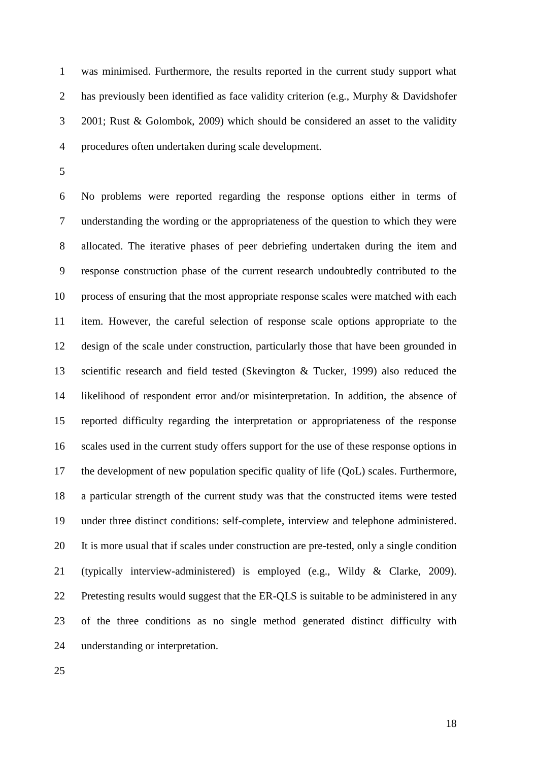was minimised. Furthermore, the results reported in the current study support what 2 has previously been identified as face validity criterion (e.g., Murphy & Davidshofer 2001; Rust & Golombok, 2009) which should be considered an asset to the validity procedures often undertaken during scale development.

 No problems were reported regarding the response options either in terms of understanding the wording or the appropriateness of the question to which they were allocated. The iterative phases of peer debriefing undertaken during the item and response construction phase of the current research undoubtedly contributed to the process of ensuring that the most appropriate response scales were matched with each item. However, the careful selection of response scale options appropriate to the design of the scale under construction, particularly those that have been grounded in scientific research and field tested (Skevington & Tucker, 1999) also reduced the likelihood of respondent error and/or misinterpretation. In addition, the absence of reported difficulty regarding the interpretation or appropriateness of the response scales used in the current study offers support for the use of these response options in the development of new population specific quality of life (QoL) scales. Furthermore, a particular strength of the current study was that the constructed items were tested under three distinct conditions: self-complete, interview and telephone administered. It is more usual that if scales under construction are pre-tested, only a single condition (typically interview-administered) is employed (e.g., Wildy & Clarke, 2009). Pretesting results would suggest that the ER-QLS is suitable to be administered in any of the three conditions as no single method generated distinct difficulty with understanding or interpretation.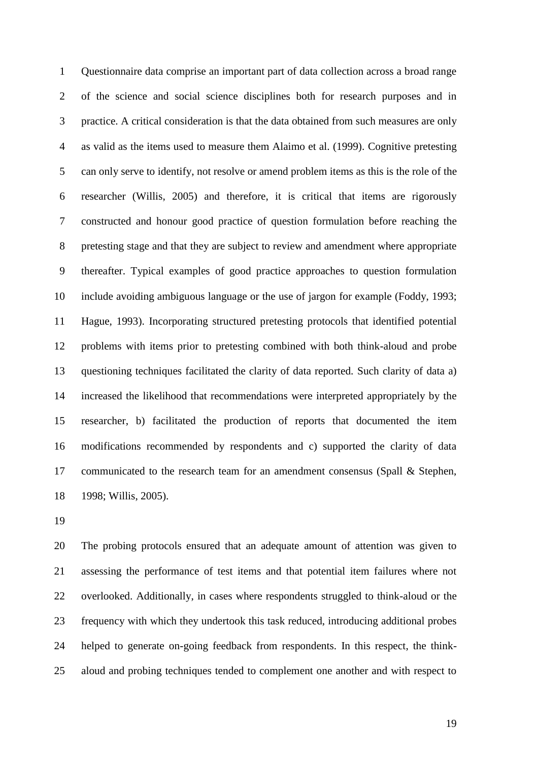Questionnaire data comprise an important part of data collection across a broad range of the science and social science disciplines both for research purposes and in practice. A critical consideration is that the data obtained from such measures are only as valid as the items used to measure them Alaimo et al. (1999). Cognitive pretesting can only serve to identify, not resolve or amend problem items as this is the role of the researcher (Willis, 2005) and therefore, it is critical that items are rigorously constructed and honour good practice of question formulation before reaching the pretesting stage and that they are subject to review and amendment where appropriate thereafter. Typical examples of good practice approaches to question formulation include avoiding ambiguous language or the use of jargon for example (Foddy, 1993; Hague, 1993). Incorporating structured pretesting protocols that identified potential problems with items prior to pretesting combined with both think-aloud and probe questioning techniques facilitated the clarity of data reported. Such clarity of data a) increased the likelihood that recommendations were interpreted appropriately by the researcher, b) facilitated the production of reports that documented the item modifications recommended by respondents and c) supported the clarity of data communicated to the research team for an amendment consensus (Spall & Stephen, 1998; Willis, 2005).

 The probing protocols ensured that an adequate amount of attention was given to assessing the performance of test items and that potential item failures where not overlooked. Additionally, in cases where respondents struggled to think-aloud or the frequency with which they undertook this task reduced, introducing additional probes helped to generate on-going feedback from respondents. In this respect, the think-aloud and probing techniques tended to complement one another and with respect to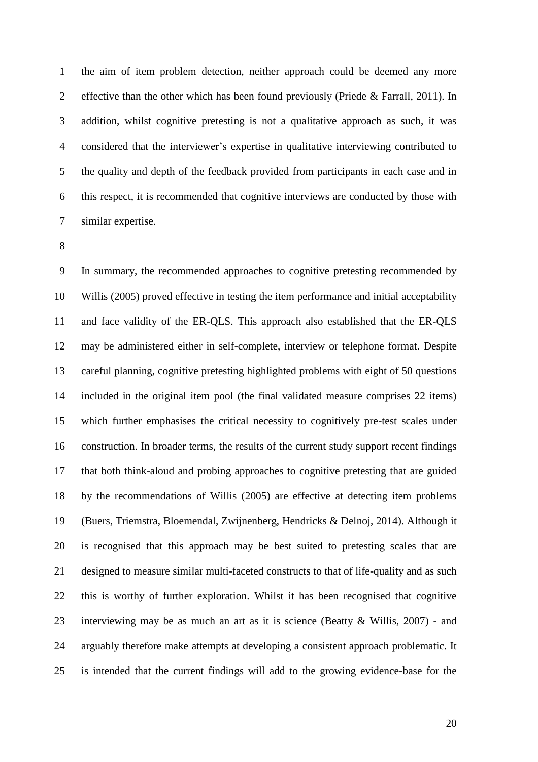the aim of item problem detection, neither approach could be deemed any more effective than the other which has been found previously (Priede & Farrall, 2011). In addition, whilst cognitive pretesting is not a qualitative approach as such, it was considered that the interviewer's expertise in qualitative interviewing contributed to the quality and depth of the feedback provided from participants in each case and in this respect, it is recommended that cognitive interviews are conducted by those with similar expertise.

 In summary, the recommended approaches to cognitive pretesting recommended by Willis (2005) proved effective in testing the item performance and initial acceptability and face validity of the ER-QLS. This approach also established that the ER-QLS may be administered either in self-complete, interview or telephone format. Despite careful planning, cognitive pretesting highlighted problems with eight of 50 questions included in the original item pool (the final validated measure comprises 22 items) which further emphasises the critical necessity to cognitively pre-test scales under construction. In broader terms, the results of the current study support recent findings that both think-aloud and probing approaches to cognitive pretesting that are guided by the recommendations of Willis (2005) are effective at detecting item problems (Buers, Triemstra, Bloemendal, Zwijnenberg, Hendricks & Delnoj, 2014). Although it is recognised that this approach may be best suited to pretesting scales that are designed to measure similar multi-faceted constructs to that of life-quality and as such this is worthy of further exploration. Whilst it has been recognised that cognitive interviewing may be as much an art as it is science (Beatty & Willis, 2007) - and arguably therefore make attempts at developing a consistent approach problematic. It is intended that the current findings will add to the growing evidence-base for the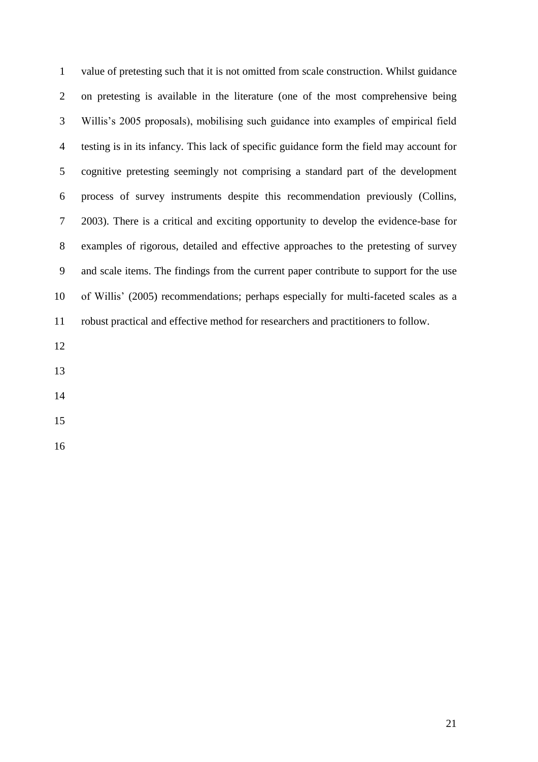| $\mathbf{1}$   | value of pretesting such that it is not omitted from scale construction. Whilst guidance |
|----------------|------------------------------------------------------------------------------------------|
| $\overline{2}$ | on pretesting is available in the literature (one of the most comprehensive being        |
| 3              | Willis's 2005 proposals), mobilising such guidance into examples of empirical field      |
| $\overline{4}$ | testing is in its infancy. This lack of specific guidance form the field may account for |
| 5              | cognitive pretesting seemingly not comprising a standard part of the development         |
| 6              | process of survey instruments despite this recommendation previously (Collins,           |
| $\tau$         | 2003). There is a critical and exciting opportunity to develop the evidence-base for     |
| 8              | examples of rigorous, detailed and effective approaches to the pretesting of survey      |
| 9              | and scale items. The findings from the current paper contribute to support for the use   |
| 10             | of Willis' (2005) recommendations; perhaps especially for multi-faceted scales as a      |
| 11             | robust practical and effective method for researchers and practitioners to follow.       |
| 12             |                                                                                          |
| 13             |                                                                                          |
|                |                                                                                          |

- 
- 
-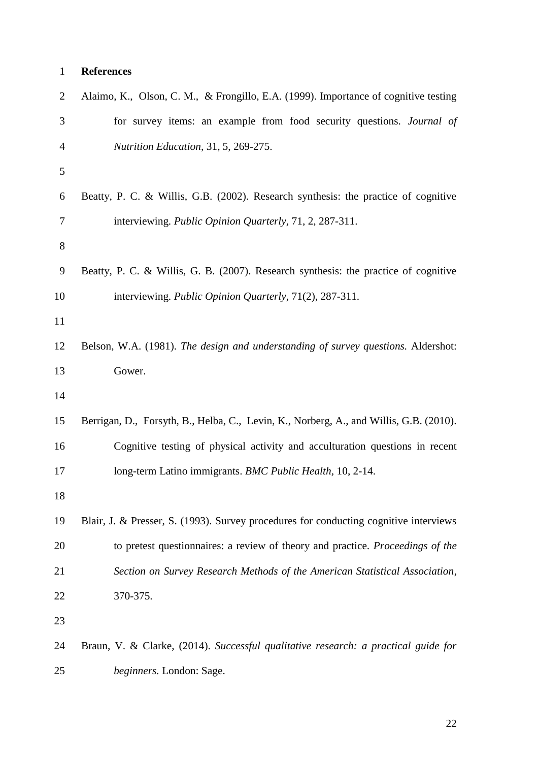# **References**

| Alaimo, K., Olson, C. M., & Frongillo, E.A. (1999). Importance of cognitive testing    |
|----------------------------------------------------------------------------------------|
| for survey items: an example from food security questions. Journal of                  |
| Nutrition Education, 31, 5, 269-275.                                                   |
|                                                                                        |
| Beatty, P. C. & Willis, G.B. (2002). Research synthesis: the practice of cognitive     |
| interviewing. Public Opinion Quarterly, 71, 2, 287-311.                                |
|                                                                                        |
| Beatty, P. C. & Willis, G. B. (2007). Research synthesis: the practice of cognitive    |
| interviewing. Public Opinion Quarterly, 71(2), 287-311.                                |
|                                                                                        |
| Belson, W.A. (1981). The design and understanding of survey questions. Aldershot:      |
| Gower.                                                                                 |
|                                                                                        |
| Berrigan, D., Forsyth, B., Helba, C., Levin, K., Norberg, A., and Willis, G.B. (2010). |
| Cognitive testing of physical activity and acculturation questions in recent           |
| long-term Latino immigrants. BMC Public Health, 10, 2-14.                              |
|                                                                                        |
| Blair, J. & Presser, S. (1993). Survey procedures for conducting cognitive interviews  |
| to pretest questionnaires: a review of theory and practice. Proceedings of the         |
| Section on Survey Research Methods of the American Statistical Association,            |
| 370-375.                                                                               |
|                                                                                        |
| Braun, V. & Clarke, (2014). Successful qualitative research: a practical guide for     |
| beginners. London: Sage.                                                               |
|                                                                                        |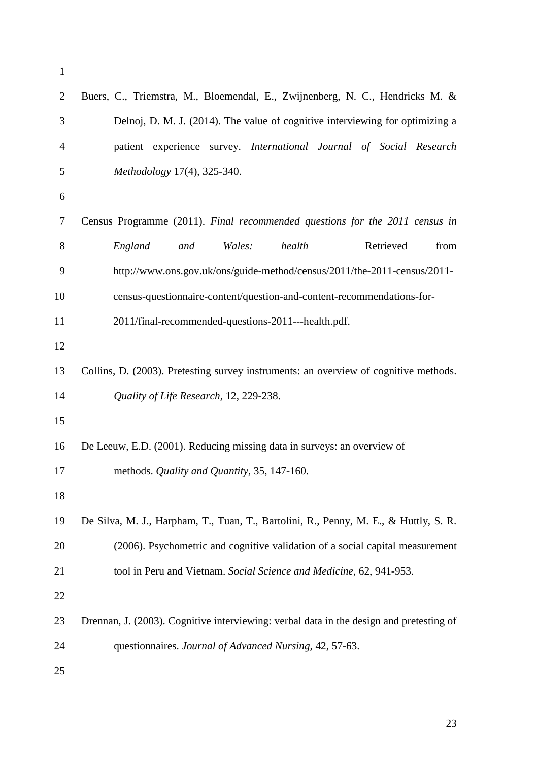| $\overline{2}$ | Buers, C., Triemstra, M., Bloemendal, E., Zwijnenberg, N. C., Hendricks M. &            |
|----------------|-----------------------------------------------------------------------------------------|
| 3              | Delnoj, D. M. J. (2014). The value of cognitive interviewing for optimizing a           |
| 4              | patient experience survey. International Journal of Social Research                     |
| 5              | Methodology 17(4), 325-340.                                                             |
| 6              |                                                                                         |
| 7              | Census Programme (2011). Final recommended questions for the 2011 census in             |
| 8              | Retrieved<br>health<br>from<br>England<br>Wales:<br>and                                 |
| 9              | http://www.ons.gov.uk/ons/guide-method/census/2011/the-2011-census/2011-                |
| 10             | census-questionnaire-content/question-and-content-recommendations-for-                  |
| 11             | 2011/final-recommended-questions-2011---health.pdf.                                     |
| 12             |                                                                                         |
| 13             | Collins, D. (2003). Pretesting survey instruments: an overview of cognitive methods.    |
| 14             | Quality of Life Research, 12, 229-238.                                                  |
| 15             |                                                                                         |
| 16             | De Leeuw, E.D. (2001). Reducing missing data in surveys: an overview of                 |
| 17             | methods. Quality and Quantity, 35, 147-160.                                             |
| 18             |                                                                                         |
| 19             | De Silva, M. J., Harpham, T., Tuan, T., Bartolini, R., Penny, M. E., & Huttly, S. R.    |
| 20             | (2006). Psychometric and cognitive validation of a social capital measurement           |
| 21             | tool in Peru and Vietnam. Social Science and Medicine, 62, 941-953.                     |
| 22             |                                                                                         |
| 23             | Drennan, J. (2003). Cognitive interviewing: verbal data in the design and pretesting of |
| 24             | questionnaires. Journal of Advanced Nursing, 42, 57-63.                                 |
| 25             |                                                                                         |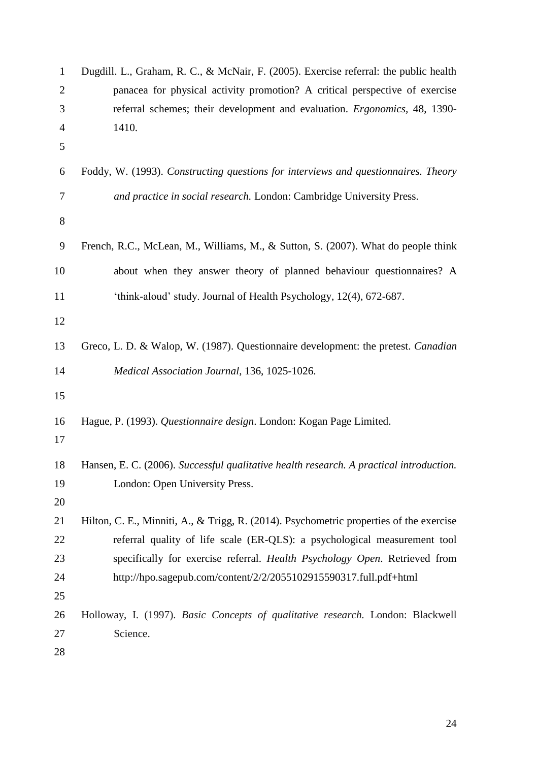| $\mathbf{1}$   | Dugdill. L., Graham, R. C., & McNair, F. (2005). Exercise referral: the public health   |
|----------------|-----------------------------------------------------------------------------------------|
| $\overline{2}$ | panacea for physical activity promotion? A critical perspective of exercise             |
| 3              | referral schemes; their development and evaluation. <i>Ergonomics</i> , 48, 1390-       |
| $\overline{4}$ | 1410.                                                                                   |
| 5              |                                                                                         |
| 6              | Foddy, W. (1993). Constructing questions for interviews and questionnaires. Theory      |
| 7              | and practice in social research. London: Cambridge University Press.                    |
| $8\,$          |                                                                                         |
| 9              | French, R.C., McLean, M., Williams, M., & Sutton, S. (2007). What do people think       |
| 10             | about when they answer theory of planned behaviour questionnaires? A                    |
| 11             | 'think-aloud' study. Journal of Health Psychology, 12(4), 672-687.                      |
| 12             |                                                                                         |
| 13             | Greco, L. D. & Walop, W. (1987). Questionnaire development: the pretest. Canadian       |
| 14             | Medical Association Journal, 136, 1025-1026.                                            |
| 15             |                                                                                         |
| 16<br>17       | Hague, P. (1993). Questionnaire design. London: Kogan Page Limited.                     |
| 18             | Hansen, E. C. (2006). Successful qualitative health research. A practical introduction. |
| 19             | London: Open University Press.                                                          |
| 20             |                                                                                         |
| 21             | Hilton, C. E., Minniti, A., & Trigg, R. (2014). Psychometric properties of the exercise |
| 22             | referral quality of life scale (ER-QLS): a psychological measurement tool               |
| 23             | specifically for exercise referral. Health Psychology Open. Retrieved from              |
| 24             | http://hpo.sagepub.com/content/2/2/2055102915590317.full.pdf+html                       |
| 25             |                                                                                         |
| 26             | Holloway, I. (1997). Basic Concepts of qualitative research. London: Blackwell          |
| 27             | Science.                                                                                |
| 28             |                                                                                         |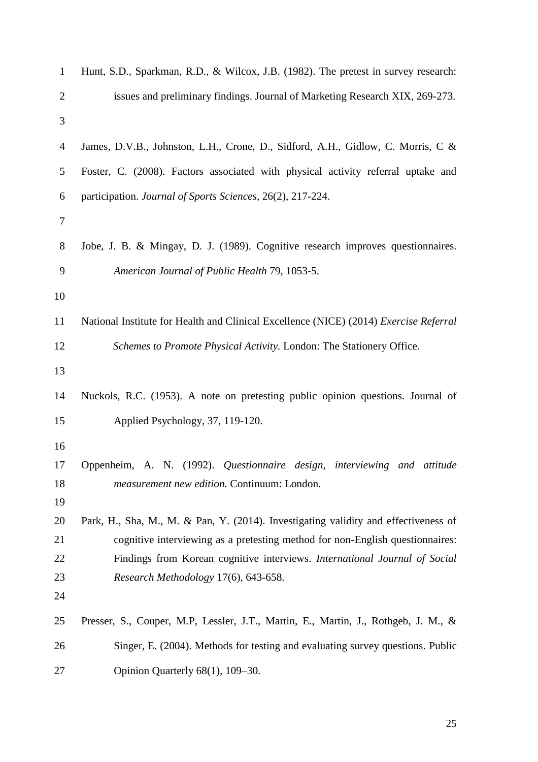| $\mathbf{1}$   | Hunt, S.D., Sparkman, R.D., & Wilcox, J.B. (1982). The pretest in survey research:    |
|----------------|---------------------------------------------------------------------------------------|
| $\overline{2}$ | issues and preliminary findings. Journal of Marketing Research XIX, 269-273.          |
| 3              |                                                                                       |
| $\overline{4}$ | James, D.V.B., Johnston, L.H., Crone, D., Sidford, A.H., Gidlow, C. Morris, C &       |
| 5              | Foster, C. (2008). Factors associated with physical activity referral uptake and      |
| 6              | participation. Journal of Sports Sciences, 26(2), 217-224.                            |
| $\tau$         |                                                                                       |
| 8              | Jobe, J. B. & Mingay, D. J. (1989). Cognitive research improves questionnaires.       |
| 9              | American Journal of Public Health 79, 1053-5.                                         |
| 10             |                                                                                       |
| 11             | National Institute for Health and Clinical Excellence (NICE) (2014) Exercise Referral |
| 12             | Schemes to Promote Physical Activity. London: The Stationery Office.                  |
| 13             |                                                                                       |
| 14             | Nuckols, R.C. (1953). A note on pretesting public opinion questions. Journal of       |
| 15             | Applied Psychology, 37, 119-120.                                                      |
| 16             |                                                                                       |
| 17             | Oppenheim, A. N. (1992). Questionnaire design, interviewing and attitude              |
| 18<br>19       | measurement new edition. Continuum: London.                                           |
| 20             | Park, H., Sha, M., M. & Pan, Y. (2014). Investigating validity and effectiveness of   |
| 21             | cognitive interviewing as a pretesting method for non-English questionnaires:         |
| 22             | Findings from Korean cognitive interviews. International Journal of Social            |
| 23             | Research Methodology 17(6), 643-658.                                                  |
| 24             |                                                                                       |
| 25             | Presser, S., Couper, M.P., Lessler, J.T., Martin, E., Martin, J., Rothgeb, J. M., &   |
| 26             | Singer, E. (2004). Methods for testing and evaluating survey questions. Public        |
| 27             | Opinion Quarterly 68(1), 109-30.                                                      |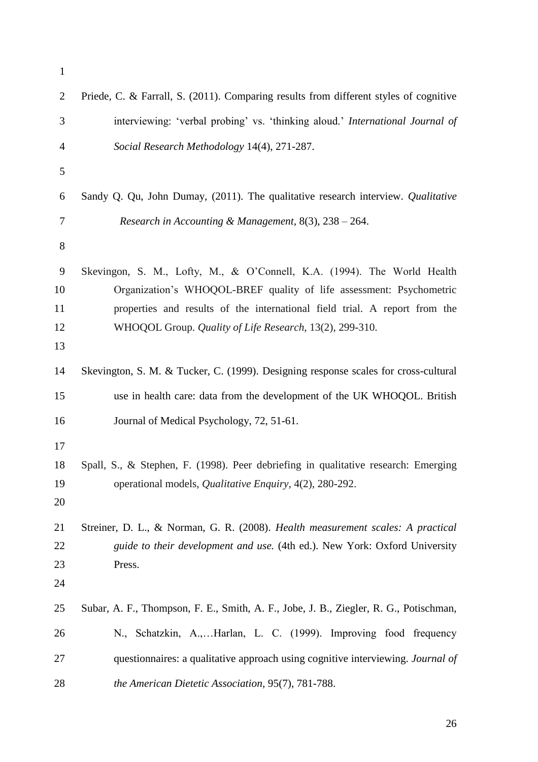| $\mathbf{1}$              |                                                                                                                                                                                                                                                                                         |
|---------------------------|-----------------------------------------------------------------------------------------------------------------------------------------------------------------------------------------------------------------------------------------------------------------------------------------|
| $\overline{2}$            | Priede, C. & Farrall, S. (2011). Comparing results from different styles of cognitive                                                                                                                                                                                                   |
| 3                         | interviewing: 'verbal probing' vs. 'thinking aloud.' International Journal of                                                                                                                                                                                                           |
| 4                         | Social Research Methodology 14(4), 271-287.                                                                                                                                                                                                                                             |
| 5                         |                                                                                                                                                                                                                                                                                         |
| 6                         | Sandy Q. Qu, John Dumay, (2011). The qualitative research interview. Qualitative                                                                                                                                                                                                        |
| 7                         | Research in Accounting & Management, $8(3)$ , $238 - 264$ .                                                                                                                                                                                                                             |
| $8\,$                     |                                                                                                                                                                                                                                                                                         |
| 9<br>10<br>11<br>12<br>13 | Skevingon, S. M., Lofty, M., & O'Connell, K.A. (1994). The World Health<br>Organization's WHOQOL-BREF quality of life assessment: Psychometric<br>properties and results of the international field trial. A report from the<br>WHOQOL Group. Quality of Life Research, 13(2), 299-310. |
| 14                        | Skevington, S. M. & Tucker, C. (1999). Designing response scales for cross-cultural                                                                                                                                                                                                     |
| 15                        | use in health care: data from the development of the UK WHOQOL. British                                                                                                                                                                                                                 |
| 16                        | Journal of Medical Psychology, 72, 51-61.                                                                                                                                                                                                                                               |
| 17<br>18<br>19<br>20      | Spall, S., & Stephen, F. (1998). Peer debriefing in qualitative research: Emerging<br>operational models, <i>Qualitative Enquiry</i> , 4(2), 280-292.                                                                                                                                   |
| 21<br>22<br>23<br>24      | Streiner, D. L., & Norman, G. R. (2008). Health measurement scales: A practical<br>guide to their development and use. (4th ed.). New York: Oxford University<br>Press.                                                                                                                 |
| 25                        | Subar, A. F., Thompson, F. E., Smith, A. F., Jobe, J. B., Ziegler, R. G., Potischman,                                                                                                                                                                                                   |
| 26                        | N., Schatzkin, A.,Harlan, L. C. (1999). Improving food frequency                                                                                                                                                                                                                        |
| 27                        | questionnaires: a qualitative approach using cognitive interviewing. Journal of                                                                                                                                                                                                         |
| 28                        | the American Dietetic Association, 95(7), 781-788.                                                                                                                                                                                                                                      |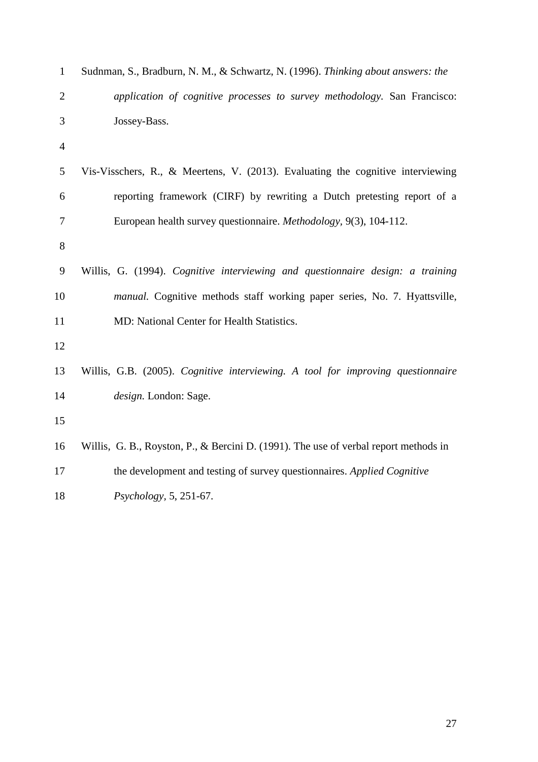| $\mathbf{1}$   | Sudnman, S., Bradburn, N. M., & Schwartz, N. (1996). Thinking about answers: the     |
|----------------|--------------------------------------------------------------------------------------|
| $\overline{2}$ | application of cognitive processes to survey methodology. San Francisco:             |
| 3              | Jossey-Bass.                                                                         |
| $\overline{4}$ |                                                                                      |
| 5              | Vis-Visschers, R., & Meertens, V. (2013). Evaluating the cognitive interviewing      |
| 6              | reporting framework (CIRF) by rewriting a Dutch pretesting report of a               |
| 7              | European health survey questionnaire. Methodology, 9(3), 104-112.                    |
| $8\,$          |                                                                                      |
| 9              | Willis, G. (1994). Cognitive interviewing and questionnaire design: a training       |
| 10             | <i>manual.</i> Cognitive methods staff working paper series, No. 7. Hyattsville,     |
| 11             | MD: National Center for Health Statistics.                                           |
| 12             |                                                                                      |
| 13             | Willis, G.B. (2005). Cognitive interviewing. A tool for improving questionnaire      |
| 14             | design. London: Sage.                                                                |
| 15             |                                                                                      |
| 16             | Willis, G. B., Royston, P., & Bercini D. (1991). The use of verbal report methods in |
| 17             | the development and testing of survey questionnaires. Applied Cognitive              |
| 18             | Psychology, 5, 251-67.                                                               |